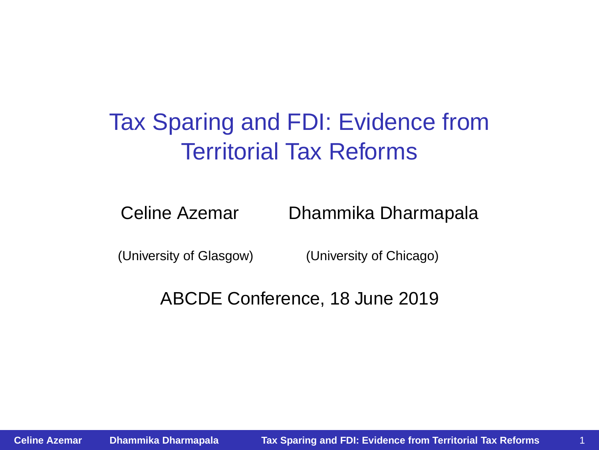# <span id="page-0-0"></span>Tax Sparing and FDI: Evidence from Territorial Tax Reforms

Celine Azemar Dhammika Dharmapala

(University of Glasgow) (University of Chicago)

ABCDE Conference, 18 June 2019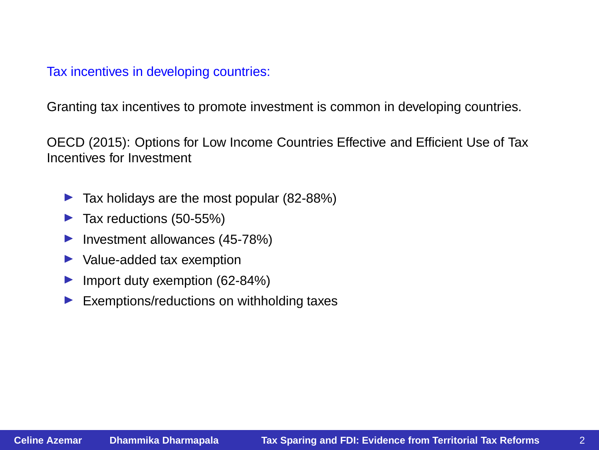#### Tax incentives in developing countries:

Granting tax incentives to promote investment is common in developing countries.

OECD (2015): Options for Low Income Countries Effective and Efficient Use of Tax Incentives for Investment

- $\blacktriangleright$  Tax holidays are the most popular (82-88%)
- $\blacktriangleright$  Tax reductions (50-55%)
- ▶ Investment allowances (45-78%)
- $\blacktriangleright$  Value-added tax exemption
- ▶ Import duty exemption (62-84%)
- Exemptions/reductions on withholding taxes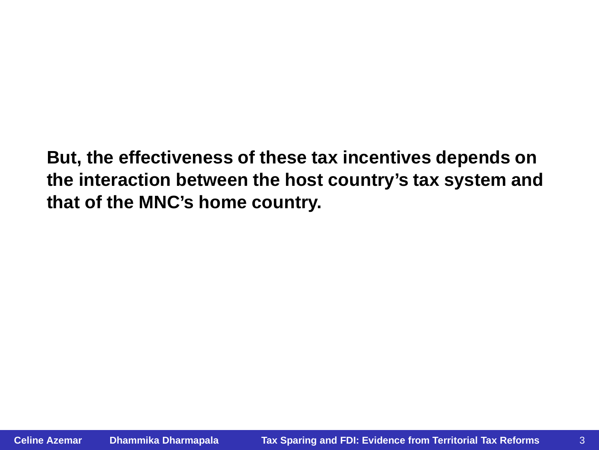**But, the effectiveness of these tax incentives depends on the interaction between the host country's tax system and that of the MNC's home country.**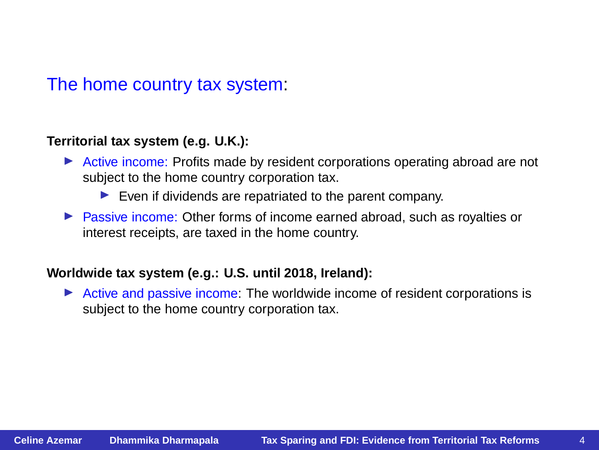### The home country tax system:

#### **Territorial tax system (e.g. U.K.):**

- ▶ Active income: Profits made by resident corporations operating abroad are not subject to the home country corporation tax.
	- $\blacktriangleright$  Even if dividends are repatriated to the parent company.
- ▶ Passive income: Other forms of income earned abroad, such as royalties or interest receipts, are taxed in the home country.

#### **Worldwide tax system (e.g.: U.S. until 2018, Ireland):**

► Active and passive income: The worldwide income of resident corporations is subject to the home country corporation tax.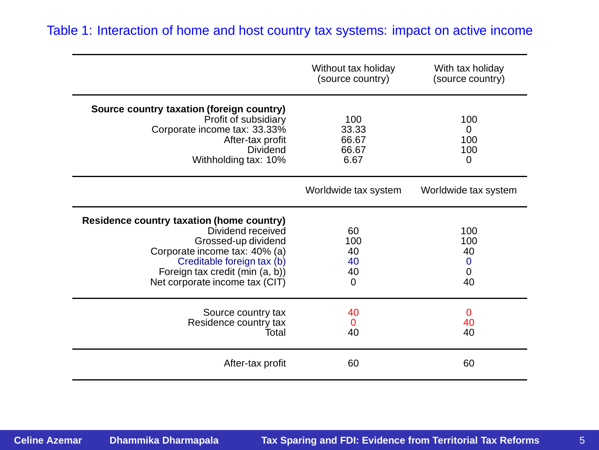|                                                                                                                                                                                                                                                 | Without tax holiday<br>(source country) | With tax holiday<br>(source country)                             |
|-------------------------------------------------------------------------------------------------------------------------------------------------------------------------------------------------------------------------------------------------|-----------------------------------------|------------------------------------------------------------------|
| Source country taxation (foreign country)<br>Profit of subsidiary<br>Corporate income tax: 33.33%<br>After-tax profit<br>Dividend<br>Withholding tax: 10%                                                                                       | 100<br>33.33<br>66.67<br>66.67<br>6.67  | 100<br>$\Omega$<br>100<br>100<br>0                               |
|                                                                                                                                                                                                                                                 | Worldwide tax system                    | Worldwide tax system                                             |
| Residence country taxation (home country)<br>Dividend received<br>Grossed-up dividend<br>Corporate income tax: 40% (a)<br>Creditable foreign tax (b)<br>Foreign tax credit (min (a, b))<br>Net corporate income tax (CIT)<br>Source country tax | 60<br>100<br>40<br>40<br>40<br>0<br>40  | 100<br>100<br>40<br>$\mathbf 0$<br>$\mathbf 0$<br>40<br>$\Omega$ |
| Residence country tax<br>Total                                                                                                                                                                                                                  | 0<br>40                                 | 40<br>40                                                         |
| After-tax profit                                                                                                                                                                                                                                | 60                                      | 60                                                               |

### Table 1: Interaction of home and host country tax systems: impact on active income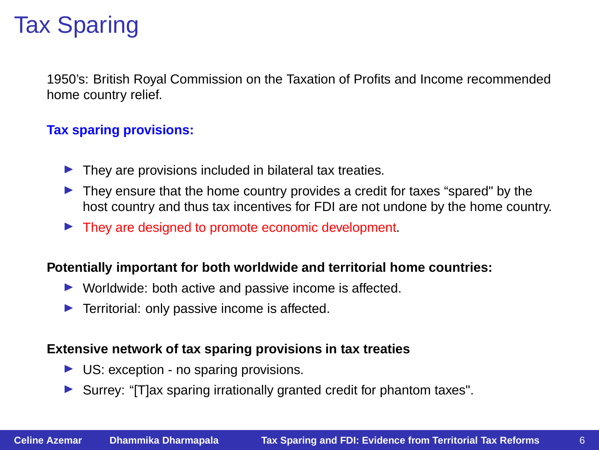# Tax Sparing

1950's: British Royal Commission on the Taxation of Profits and Income recommended home country relief.

### **Tax sparing provisions:**

- $\blacktriangleright$  They are provisions included in bilateral tax treaties.
- ▶ They ensure that the home country provides a credit for taxes "spared" by the host country and thus tax incentives for FDI are not undone by the home country.
- ► They are designed to promote economic development.

#### **Potentially important for both worldwide and territorial home countries:**

- $\triangleright$  Worldwide: both active and passive income is affected.
- $\blacktriangleright$  Territorial: only passive income is affected.

#### **Extensive network of tax sparing provisions in tax treaties**

- $\triangleright$  US: exception no sparing provisions.
- ▶ Surrey: "[T]ax sparing irrationally granted credit for phantom taxes".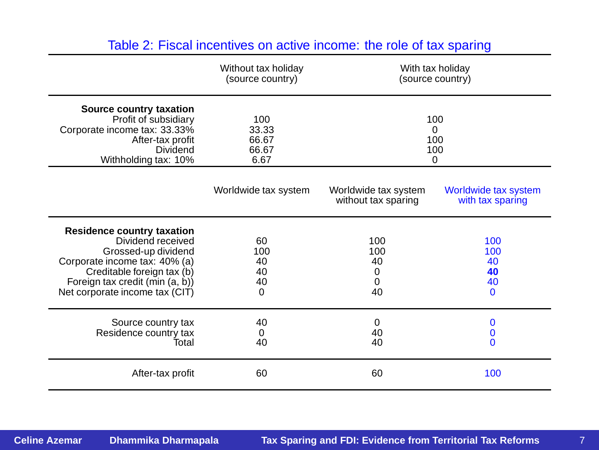|                                                                                                                                                                                                            | Without tax holiday<br>(source country)                               | With tax holiday<br>(source country)              |                                          |
|------------------------------------------------------------------------------------------------------------------------------------------------------------------------------------------------------------|-----------------------------------------------------------------------|---------------------------------------------------|------------------------------------------|
| Source country taxation<br>Profit of subsidiary<br>Corporate income tax: 33.33%<br>After-tax profit<br>Dividend<br>Withholding tax: 10%                                                                    | 100<br>100<br>33.33<br>0<br>100<br>66.67<br>66.67<br>6.67<br>$\Omega$ |                                                   | 100                                      |
|                                                                                                                                                                                                            | Worldwide tax system                                                  | Worldwide tax system<br>without tax sparing       | Worldwide tax system<br>with tax sparing |
| Residence country taxation<br>Dividend received<br>Grossed-up dividend<br>Corporate income tax: 40% (a)<br>Creditable foreign tax (b)<br>Foreign tax credit (min (a, b))<br>Net corporate income tax (CIT) | 60<br>100<br>40<br>40<br>40<br>$\Omega$                               | 100<br>100<br>40<br>$\mathbf 0$<br>$\Omega$<br>40 | 100<br>100<br>40<br>40<br>40<br>$\Omega$ |
| Source country tax<br>Residence country tax<br>Total                                                                                                                                                       | 40<br>0<br>40                                                         | $\Omega$<br>40<br>40                              | 0<br>0<br>0                              |
| After-tax profit                                                                                                                                                                                           | 60                                                                    | 60                                                | 100                                      |

#### Table 2: Fiscal incentives on active income: the role of tax sparing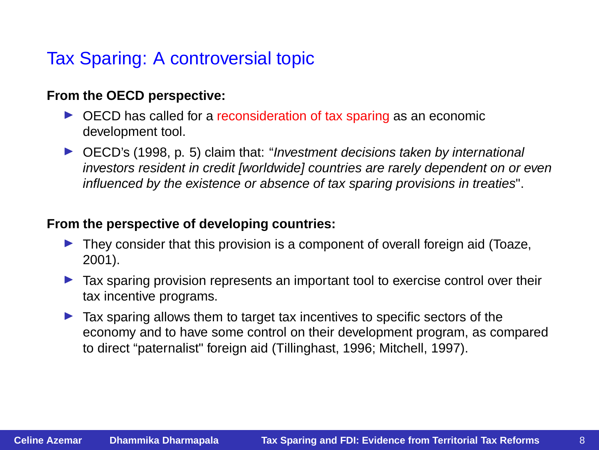# Tax Sparing: A controversial topic

### **From the OECD perspective:**

- $\triangleright$  OECD has called for a reconsideration of tax sparing as an economic development tool.
- $\triangleright$  OECD's (1998, p. 5) claim that: "Investment decisions taken by international investors resident in credit [worldwide] countries are rarely dependent on or even influenced by the existence or absence of tax sparing provisions in treaties".

#### **From the perspective of developing countries:**

- $\blacktriangleright$  They consider that this provision is a component of overall foreign aid (Toaze, 2001).
- ▶ Tax sparing provision represents an important tool to exercise control over their tax incentive programs.
- ▶ Tax sparing allows them to target tax incentives to specific sectors of the economy and to have some control on their development program, as compared to direct "paternalist" foreign aid (Tillinghast, 1996; Mitchell, 1997).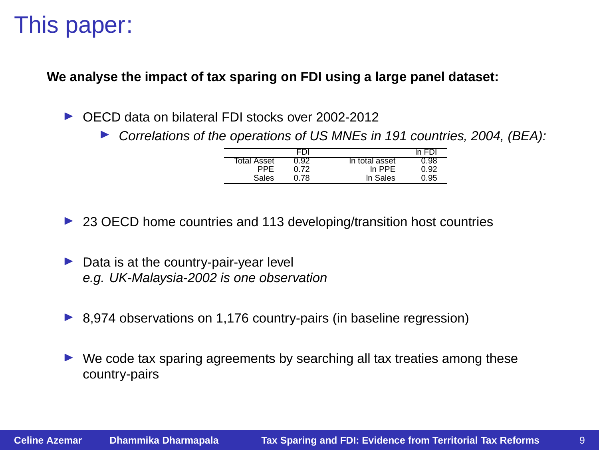# This paper:

**We analyse the impact of tax sparing on FDI using a large panel dataset:**

- ▶ OECD data on bilateral FDI stocks over 2002-2012
	- ▶ Correlations of the operations of US MNEs in 191 countries, 2004, (BEA):

|             | FDI  |                | In FDI |
|-------------|------|----------------|--------|
| Total Asset | 0.92 | In total asset | 0.98   |
| PPF         | 0.72 | In PPF         | 0.92   |
| Sales       | 0.78 | In Sales       | 0.95   |

- ▶ 23 OECD home countries and 113 developing/transition host countries
- $\triangleright$  Data is at the country-pair-year level e.g. UK-Malaysia-2002 is one observation
- ▶ 8,974 observations on 1,176 country-pairs (in baseline regression)
- $\triangleright$  We code tax sparing agreements by searching all tax treaties among these country-pairs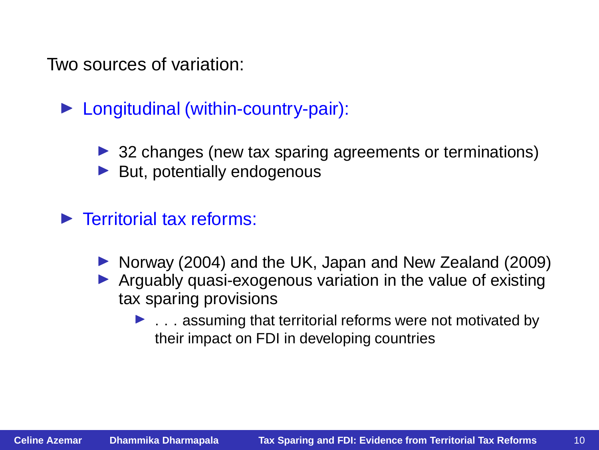Two sources of variation:

► Longitudinal (within-country-pair):

- ▶ 32 changes (new tax sparing agreements or terminations)
- $\blacktriangleright$  But, potentially endogenous
- ▶ Territorial tax reforms:
	- ▶ Norway (2004) and the UK, Japan and New Zealand (2009)
	- $\blacktriangleright$  Arguably quasi-exogenous variation in the value of existing tax sparing provisions
		- $\blacktriangleright$  ... assuming that territorial reforms were not motivated by their impact on FDI in developing countries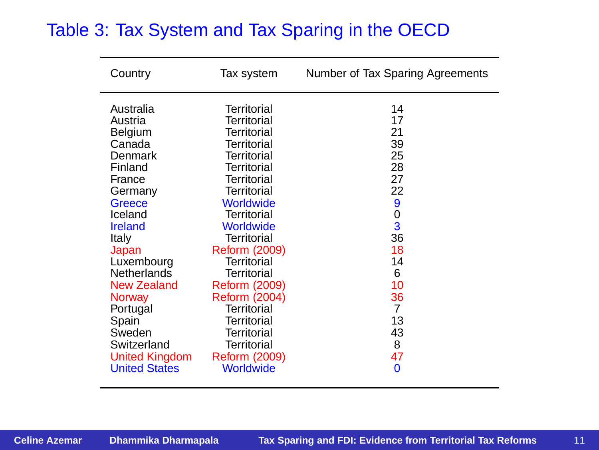# Table 3: Tax System and Tax Sparing in the OECD

Ē.

| Country               | Tax system           | Number of Tax Sparing Agreements |
|-----------------------|----------------------|----------------------------------|
| Australia             | Territorial          | 14                               |
| Austria               | Territorial          | 17                               |
| Belgium               | Territorial          | 21                               |
| Canada                | Territorial          | 39                               |
| Denmark               | Territorial          | 25                               |
| Finland               | Territorial          | 28                               |
| France                | Territorial          | 27                               |
| Germany               | Territorial          | 22                               |
| Greece                | Worldwide            | 9                                |
| Iceland               | Territorial          | 0                                |
| Ireland               | <b>Worldwide</b>     | 3                                |
| Italy                 | Territorial          | 36                               |
| Japan                 | <b>Reform (2009)</b> | 18                               |
| Luxembourg            | Territorial          | 14                               |
| <b>Netherlands</b>    | Territorial          | 6                                |
| <b>New Zealand</b>    | <b>Reform (2009)</b> | 10                               |
| Norway                | <b>Reform (2004)</b> | 36                               |
| Portugal              | Territorial          | 7                                |
| Spain                 | Territorial          | 13                               |
| Sweden                | Territorial          | 43                               |
| Switzerland           | Territorial          | 8                                |
| <b>United Kingdom</b> | <b>Reform (2009)</b> | 47                               |
| <b>United States</b>  | Worldwide            | $\mathbf 0$                      |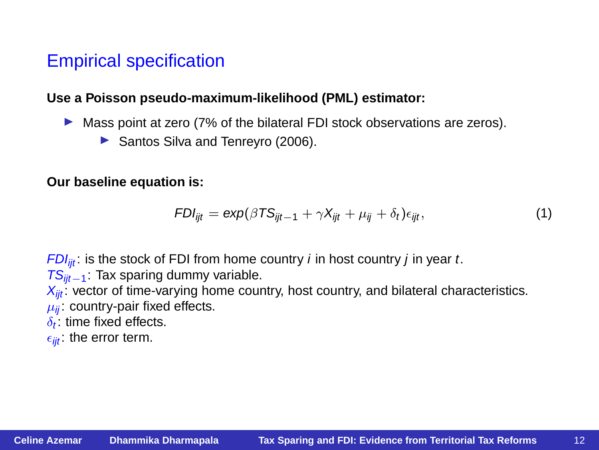## Empirical specification

#### **Use a Poisson pseudo-maximum-likelihood (PML) estimator:**

▶ Mass point at zero (7% of the bilateral FDI stock observations are zeros).

▶ Santos Silva and Tenreyro (2006).

#### **Our baseline equation is:**

$$
FDI_{ijt} = exp(\beta TS_{ijt-1} + \gamma X_{ijt} + \mu_{ij} + \delta_t)\epsilon_{ijt},
$$
\n(1)

 $FDI_{ijt}$ : is the stock of FDI from home country *i* in host country *i* in year *t*.  $TS_{\text{int}-1}$ : Tax sparing dummy variable.  $X_{ij}$ : vector of time-varying home country, host country, and bilateral characteristics.  $\mu_{ii}$ : country-pair fixed effects.  $\delta_t$ : time fixed effects.  $\epsilon_{\text{ijt}}$  the error term.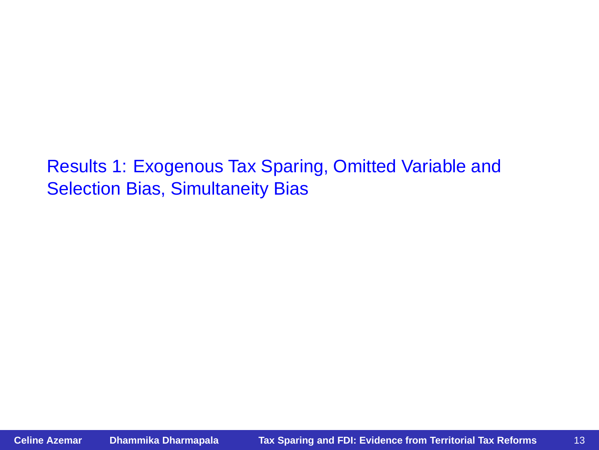Results 1: Exogenous Tax Sparing, Omitted Variable and Selection Bias, Simultaneity Bias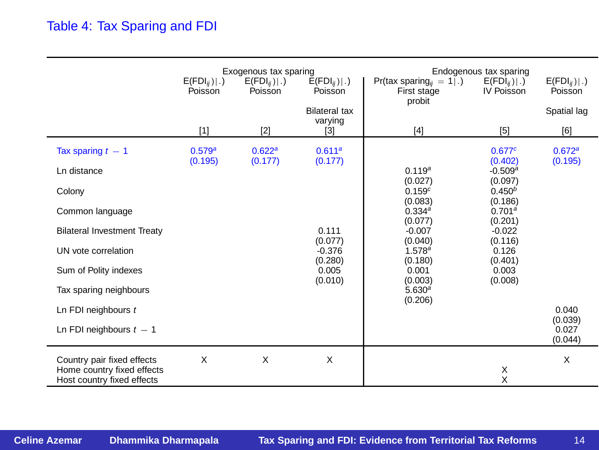### Table 4: Tax Sparing and FDI

|                                                                                                                                                       | $E(FDI_{ii}) .)$<br>Poisson   | Exogenous tax sparing<br>$E(FDI_{ii}) .)$<br>Poisson | $E(FDI_{ii}) .)$<br>Poisson<br><b>Bilateral tax</b>                               | $Pr(\text{tax spacing}_{ii} = 1   .)$<br>First stage<br>probit                                                                         | Endogenous tax sparing<br>$E(FDI_{ii}) .$<br>IV Poisson                                                                                                                 | $E(FDI_{ii}) .)$<br>Poisson<br>Spatial lag |
|-------------------------------------------------------------------------------------------------------------------------------------------------------|-------------------------------|------------------------------------------------------|-----------------------------------------------------------------------------------|----------------------------------------------------------------------------------------------------------------------------------------|-------------------------------------------------------------------------------------------------------------------------------------------------------------------------|--------------------------------------------|
|                                                                                                                                                       | $[1]$                         | $[2]$                                                | varying<br>$[3]$                                                                  | $[4]$                                                                                                                                  | $[5]$                                                                                                                                                                   | [6]                                        |
| Tax sparing $t - 1$<br>Ln distance<br>Colony<br>Common language<br><b>Bilateral Investment Treaty</b><br>UN vote correlation<br>Sum of Polity indexes | 0.579 <sup>a</sup><br>(0.195) | 0.622 <sup>a</sup><br>(0.177)                        | 0.611 <sup>a</sup><br>(0.177)<br>0.111<br>(0.077)<br>$-0.376$<br>(0.280)<br>0.005 | 0.119 <sup>a</sup><br>(0.027)<br>$0.159^{c}$<br>(0.083)<br>0.334a<br>(0.077)<br>$-0.007$<br>(0.040)<br>$1.578^{a}$<br>(0.180)<br>0.001 | $0.677^c$<br>(0.402)<br>$-0.509$ <sup>a</sup><br>(0.097)<br>$0.450^{b}$<br>(0.186)<br>0.701 <sup>a</sup><br>(0.201)<br>$-0.022$<br>(0.116)<br>0.126<br>(0.401)<br>0.003 | 0.672 <sup>a</sup><br>(0.195)              |
| Tax sparing neighbours<br>Ln FDI neighbours t<br>Ln FDI neighbours $t - 1$                                                                            |                               |                                                      | (0.010)                                                                           | (0.003)<br>$5.630^{a}$<br>(0.206)                                                                                                      | (0.008)                                                                                                                                                                 | 0.040<br>(0.039)<br>0.027<br>(0.044)       |
| Country pair fixed effects<br>Home country fixed effects<br>Host country fixed effects                                                                | $\mathsf{x}$                  | X                                                    | X                                                                                 |                                                                                                                                        | X<br>X                                                                                                                                                                  | X                                          |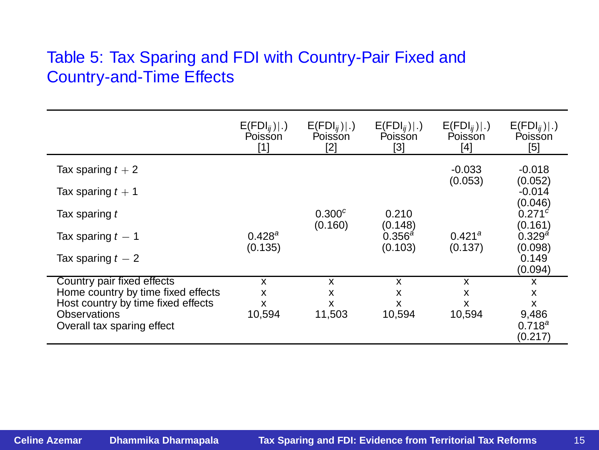### Table 5: Tax Sparing and FDI with Country-Pair Fixed and Country-and-Time Effects

|                                                                          | $E(FDI_{ii}) .$<br>Poisson<br>[1] | $E(FDI_{ii}) .$<br>Poisson<br>[2] | $E(FDI_{ii}) .$<br>Poisson<br>$[3]$ | $E(FDI_{ii}) .)$<br>Poisson<br>[4] | $E(FDI_{ij}) .$<br>Poisson<br>[5] |
|--------------------------------------------------------------------------|-----------------------------------|-----------------------------------|-------------------------------------|------------------------------------|-----------------------------------|
| Tax sparing $t + 2$                                                      |                                   |                                   |                                     | $-0.033$                           | $-0.018$                          |
| Tax sparing $t + 1$                                                      |                                   |                                   |                                     | (0.053)                            | (0.052)<br>$-0.014$               |
| Tax sparing t                                                            |                                   | 0.300c                            | 0.210                               |                                    | (0.046)<br>$0.271^{c}$            |
| Tax sparing $t-1$                                                        | 0.428a                            | (0.160)                           | (0.148)<br>0.356a                   | 0.421a                             | (0.161)<br>0.329a                 |
| Tax sparing $t-2$                                                        | (0.135)                           |                                   | (0.103)                             | (0.137)                            | (0.098)<br>0.149<br>(0.094)       |
| Country pair fixed effects                                               | x                                 | $\boldsymbol{\mathsf{x}}$         | x                                   | x                                  | x                                 |
| Home country by time fixed effects<br>Host country by time fixed effects | x<br>x                            | x<br>x                            | x<br>x                              | x<br>x                             | х<br>x                            |
| Observations                                                             | 10.594                            | 11,503                            | 10,594                              | 10.594                             | 9,486                             |
| Overall tax sparing effect                                               |                                   |                                   |                                     |                                    | $0.718^{a}$                       |
|                                                                          |                                   |                                   |                                     |                                    | (0.217)                           |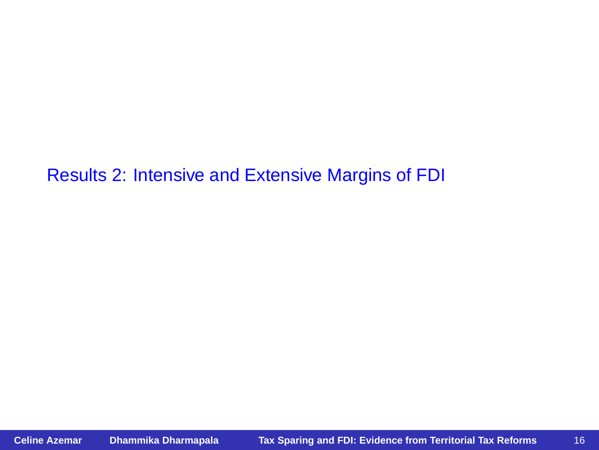Results 2: Intensive and Extensive Margins of FDI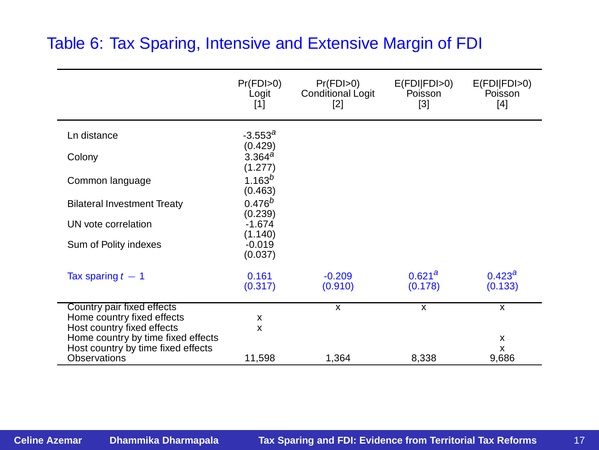### Table 6: Tax Sparing, Intensive and Extensive Margin of FDI

|                                                                  | Pr(FDI>0)<br>Logit<br>[1]     | Pr(FDI>0)<br>Conditional Logit<br>$[2]$ | E(FDIFDI>0)<br>Poisson<br>[3] | E(FD  FD >0)<br>Poisson<br>$[4]$ |
|------------------------------------------------------------------|-------------------------------|-----------------------------------------|-------------------------------|----------------------------------|
| Ln distance                                                      | $-3.553^a$<br>(0.429)         |                                         |                               |                                  |
| Colony                                                           | 3.364 <sup>a</sup><br>(1.277) |                                         |                               |                                  |
| Common language                                                  | $1.163^{b}$<br>(0.463)        |                                         |                               |                                  |
| <b>Bilateral Investment Treaty</b>                               | $0.476^{b}$<br>(0.239)        |                                         |                               |                                  |
| UN vote correlation                                              | $-1.674$<br>(1.140)           |                                         |                               |                                  |
| Sum of Polity indexes                                            | $-0.019$<br>(0.037)           |                                         |                               |                                  |
| Tax sparing $t-1$                                                | 0.161<br>(0.317)              | $-0.209$<br>(0.910)                     | 0.621 <sup>a</sup><br>(0.178) | $0.423^a$<br>(0.133)             |
| Country pair fixed effects                                       |                               | X                                       | x                             | $\overline{\mathsf{x}}$          |
| Home country fixed effects                                       | x                             |                                         |                               |                                  |
| Host country fixed effects<br>Home country by time fixed effects | x                             |                                         |                               | x                                |
| Host country by time fixed effects                               |                               |                                         |                               | x                                |
| Observations                                                     | 11,598                        | 1,364                                   | 8,338                         | 9,686                            |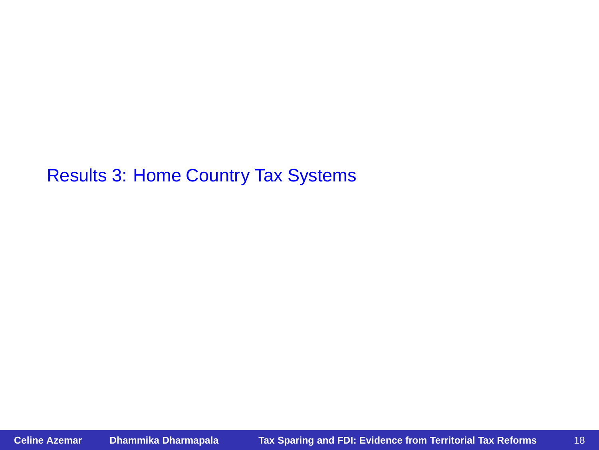Results 3: Home Country Tax Systems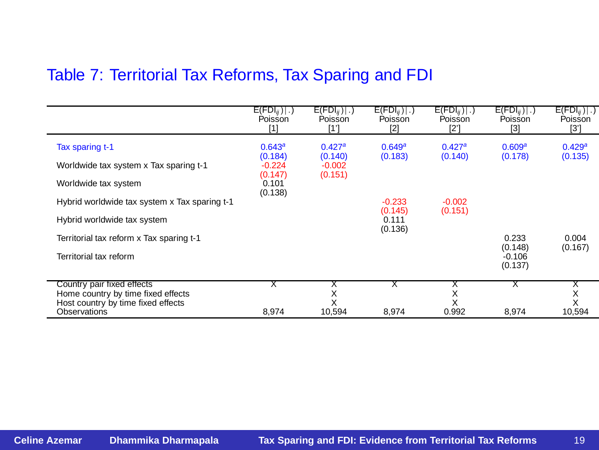### Table 7: Territorial Tax Reforms, Tax Sparing and FDI

 $\ddot{\phantom{a}}$ 

|                                                    | $E(FDI_{ii}) .)$<br>Poisson<br>[1] | $E(FDI_{ii})$ .)<br>Poisson<br>[1'] | $E(FDI_{ii}) .)$<br>Poisson<br>$[2]$ | $E(FDI_{ii}) .)$<br>Poisson<br>[2] | $E(FDI_{ii})$ .)<br>Poisson<br>[3] | $E(FDI_{ij})$ .)<br>Poisson<br>[3] |
|----------------------------------------------------|------------------------------------|-------------------------------------|--------------------------------------|------------------------------------|------------------------------------|------------------------------------|
| Tax sparing t-1                                    | 0.643 <sup>a</sup><br>(0.184)      | 0.427a<br>(0.140)                   | 0.649a<br>(0.183)                    | 0.427a<br>(0.140)                  | 0.609 <sup>a</sup><br>(0.178)      | $0.429$ <sup>a</sup><br>(0.135)    |
| Worldwide tax system x Tax sparing t-1             | $-0.224$                           | $-0.002$                            |                                      |                                    |                                    |                                    |
| Worldwide tax system                               | (0.147)<br>0.101                   | (0.151)                             |                                      |                                    |                                    |                                    |
| Hybrid worldwide tax system x Tax sparing t-1      | (0.138)                            |                                     | $-0.233$<br>(0.145)                  | $-0.002$<br>(0.151)                |                                    |                                    |
| Hybrid worldwide tax system                        |                                    |                                     | 0.111                                |                                    |                                    |                                    |
| Territorial tax reform x Tax sparing t-1           |                                    |                                     | (0.136)                              |                                    | 0.233                              | 0.004                              |
| Territorial tax reform                             |                                    |                                     |                                      |                                    | (0.148)<br>$-0.106$<br>(0.137)     | (0.167)                            |
| Country pair fixed effects                         |                                    |                                     |                                      |                                    |                                    |                                    |
| Home country by time fixed effects                 |                                    | X                                   |                                      | X                                  |                                    | X                                  |
| Host country by time fixed effects<br>Observations | 8.974                              | X<br>10.594                         | 8,974                                | X<br>0.992                         | 8.974                              | X<br>10.594                        |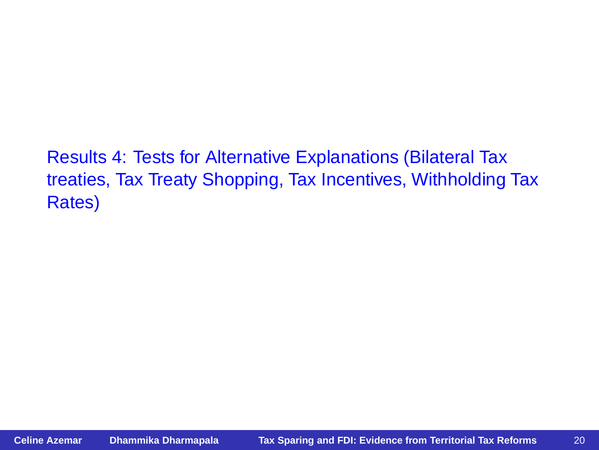Results 4: Tests for Alternative Explanations (Bilateral Tax treaties, Tax Treaty Shopping, Tax Incentives, Withholding Tax Rates)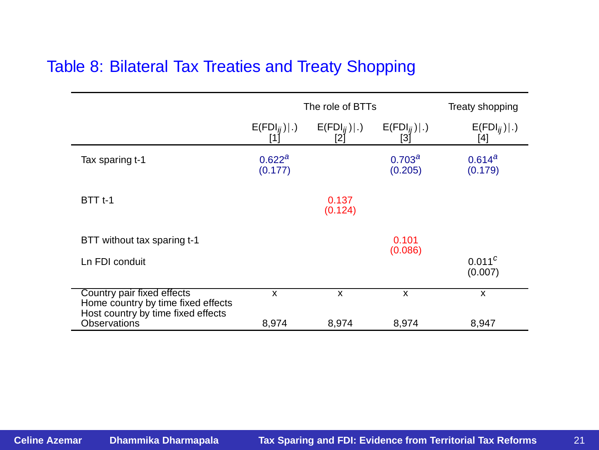## Table 8: Bilateral Tax Treaties and Treaty Shopping

|                                                                                                        | The role of BTTs              | Treaty shopping        |                               |                         |
|--------------------------------------------------------------------------------------------------------|-------------------------------|------------------------|-------------------------------|-------------------------|
|                                                                                                        | $E(FDI_{ii}) .$<br>11.        | $E(FDI_{ii}) .$<br>[2] | $E(FDI_{ii}) .$<br>[3]        | $E(FDI_{ii}) .)$<br>[4] |
| Tax sparing t-1                                                                                        | 0.622 <sup>a</sup><br>(0.177) |                        | 0.703 <sup>a</sup><br>(0.205) | $0.614^{a}$<br>(0.179)  |
| <b>BTT t-1</b>                                                                                         |                               | 0.137<br>(0.124)       |                               |                         |
| BTT without tax sparing t-1                                                                            |                               |                        | 0.101                         |                         |
| Ln FDI conduit                                                                                         |                               |                        | (0.086)                       | $0.011^{c}$<br>(0.007)  |
| Country pair fixed effects<br>Home country by time fixed effects<br>Host country by time fixed effects | x                             | x                      | x                             | x                       |
| Observations                                                                                           | 8.974                         | 8,974                  | 8,974                         | 8,947                   |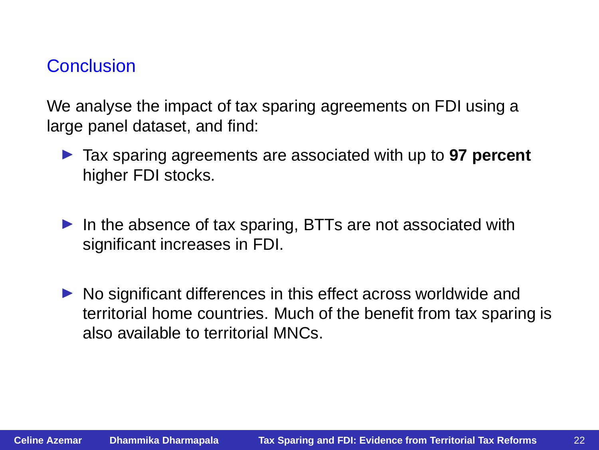### Conclusion

We analyse the impact of tax sparing agreements on FDI using a large panel dataset, and find:

- ◮ Tax sparing agreements are associated with up to **97 percent** higher FDI stocks.
- $\blacktriangleright$  In the absence of tax sparing, BTTs are not associated with significant increases in FDI.
- ▶ No significant differences in this effect across worldwide and territorial home countries. Much of the benefit from tax sparing is also available to territorial MNCs.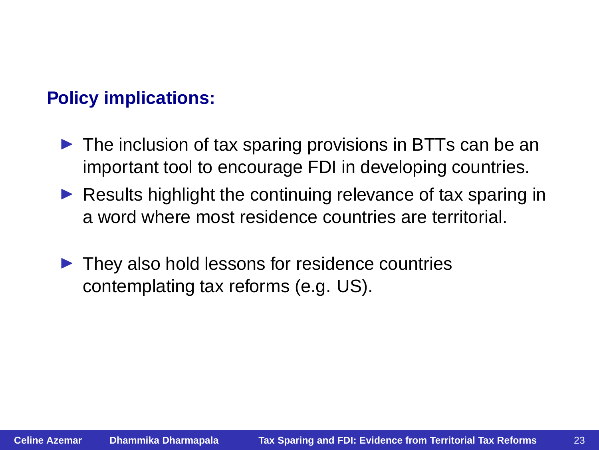# **Policy implications:**

- $\triangleright$  The inclusion of tax sparing provisions in BTTs can be an important tool to encourage FDI in developing countries.
- $\triangleright$  Results highlight the continuing relevance of tax sparing in a word where most residence countries are territorial.
- $\blacktriangleright$  They also hold lessons for residence countries contemplating tax reforms (e.g. US).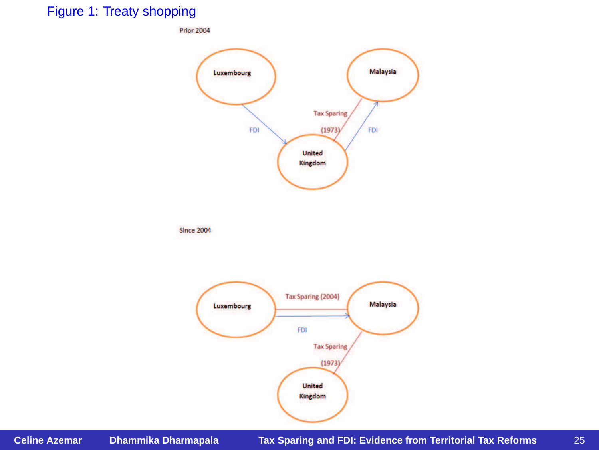### Figure 1: Treaty shopping

**Prior 2004** 



**Since 2004** 

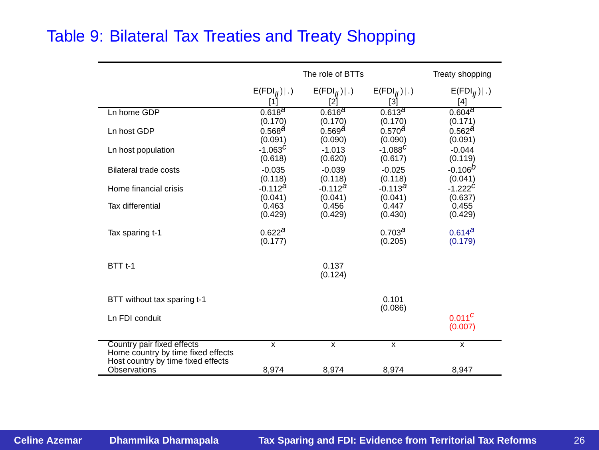## Table 9: Bilateral Tax Treaties and Treaty Shopping

|                                                                                                        |                                          | The role of BTTs                         |                                          | Treaty shopping                          |
|--------------------------------------------------------------------------------------------------------|------------------------------------------|------------------------------------------|------------------------------------------|------------------------------------------|
|                                                                                                        | $E(FDI_{ii}) .)$<br>ſ1                   | $E(FDI_{ii}) .)$<br>[2]                  | $E(FDI_{ii}) .)$<br>[3]                  | $E(FDI_{jj}) .)$<br>[4]                  |
| Ln home GDP                                                                                            | $0.618^{a}$                              | 0.616 <sup>3</sup>                       | 0.613 <sup>3</sup>                       | $0.604^{a}$                              |
| Ln host GDP                                                                                            | (0.170)<br>0.568 <sup>a</sup><br>(0.091) | (0.170)<br>0.569 <sup>a</sup><br>(0.090) | (0.170)<br>0.570 <sup>a</sup><br>(0.090) | (0.171)<br>0.562 <sup>a</sup><br>(0.091) |
| Ln host population                                                                                     | $-1.063^C$<br>(0.618)                    | $-1.013$<br>(0.620)                      | $-1.088$ <sup>C</sup><br>(0.617)         | $-0.044$<br>(0.119)                      |
| Bilateral trade costs                                                                                  | $-0.035$<br>(0.118)                      | $-0.039$<br>(0.118)                      | $-0.025$<br>(0.118)                      | $-0.106b$<br>(0.041)                     |
| Home financial crisis                                                                                  | $-0.112^a$<br>(0.041)                    | $-0.112^a$<br>(0.041)                    | $-0.113^a$<br>(0.041)                    | $-1.222$ <sup>C</sup><br>(0.637)         |
| Tax differential                                                                                       | 0.463<br>(0.429)                         | 0.456<br>(0.429)                         | 0.447<br>(0.430)                         | 0.455<br>(0.429)                         |
| Tax sparing t-1                                                                                        | 0.622 <sup>a</sup><br>(0.177)            |                                          | 0.703 <sup>a</sup><br>(0.205)            | 0.614 <sup>a</sup><br>(0.179)            |
| <b>BTT t-1</b>                                                                                         |                                          | 0.137<br>(0.124)                         |                                          |                                          |
| BTT without tax sparing t-1                                                                            |                                          |                                          | 0.101<br>(0.086)                         |                                          |
| Ln FDI conduit                                                                                         |                                          |                                          |                                          | $0.011^{c}$<br>(0.007)                   |
| Country pair fixed effects<br>Home country by time fixed effects<br>Host country by time fixed effects | $\overline{\mathsf{x}}$                  | $\overline{\mathsf{x}}$                  | $\overline{\mathsf{x}}$                  | $\overline{\mathbf{x}}$                  |
| Observations                                                                                           | 8.974                                    | 8.974                                    | 8.974                                    | 8.947                                    |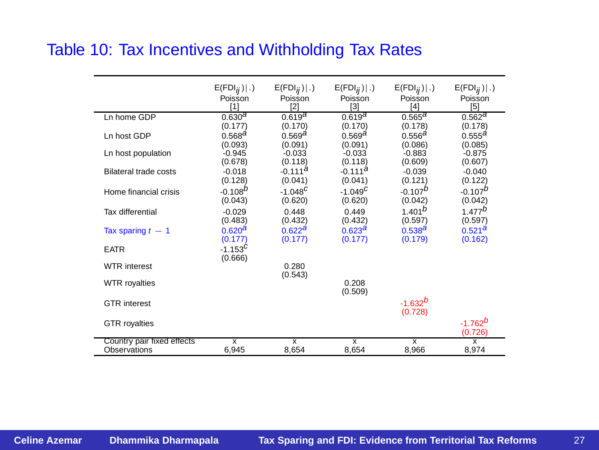### Table 10: Tax Incentives and Withholding Tax Rates

|                              | $E(FDI_{jj}) .)$        | $E(FDI_{ii}) .$        | $E(FDI_{jj}) .$    | $E(FDI_{jj}) .)$        | $E(FDI_{ij}) .$        |
|------------------------------|-------------------------|------------------------|--------------------|-------------------------|------------------------|
|                              | Poisson                 | Poisson                | Poisson            | Poisson                 | Poisson                |
|                              | [1]                     | $[2]$                  | [3]                | [4]                     | $[5]$                  |
| Ln home GDP                  | 0.630 <sup>a</sup>      | 0.619 <sup>2</sup>     | 0.619 <sup>3</sup> | $0.565^{\overline{a}}$  | $0.562^{\overline{a}}$ |
| Ln host GDP                  | (0.177)                 | (0.170)                | (0.170)            | (0.178)                 | (0.178)                |
|                              | 0.568 <sup>a</sup>      | 0.569 <sup>a</sup>     | 0.569 <sup>a</sup> | 0.556 <sup>a</sup>      | $0.555$ <sup>a</sup>   |
|                              | (0.093)                 | (0.091)                | (0.091)            | (0.086)                 | (0.085)                |
| Ln host population           | $-0.945$                | $-0.033$               | $-0.033$           | $-0.883$                | $-0.875$               |
|                              | (0.678)                 | (0.118)                | (0.118)            | (0.609)                 | (0.607)                |
| <b>Bilateral trade costs</b> | $-0.018$                | $-0.111^a$             | $-0.111^a$         | $-0.039$                | $-0.040$               |
|                              | (0.128)                 | (0.041)                | (0.041)            | (0.121)                 | (0.122)                |
| Home financial crisis        | $-0.108^{b}$            | $-1.048C$              | $-1.049C$          | $-0.107D$               | $-0.107b$              |
|                              | (0.043)                 | (0.620)                | (0.620)            | (0.042)                 | (0.042)                |
| Tax differential             | $-0.029$                | 0.448                  | 0.449              | $1.401^{b}$             | 1.477 <sup>b</sup>     |
|                              | (0.483)                 | (0.432)                | (0.432)            | (0.597)                 | (0.597)                |
| Tax sparing $t - 1$          | 0.620 <sup>a</sup>      | $0.622^{\textstyle a}$ | 0.623 <sup>a</sup> | 0.538 <sup>a</sup>      | 0.521 <sup>a</sup>     |
|                              | (0.177)                 | (0.177)                | (0.177)            | (0.179)                 | (0.162)                |
| <b>EATR</b>                  | $-1.153^{C}$<br>(0.666) |                        |                    |                         |                        |
| <b>WTR</b> interest          |                         | 0.280<br>(0.543)       |                    |                         |                        |
| <b>WTR</b> royalties         |                         |                        | 0.208<br>(0.509)   |                         |                        |
| <b>GTR</b> interest          |                         |                        |                    | $-1.632^{b}$<br>(0.728) |                        |
| <b>GTR</b> royalties         |                         |                        |                    |                         | $-1.762b$<br>(0.726)   |
| Country pair fixed effects   | x                       | x                      | x                  | x                       | $\mathbf{x}$           |
| Observations                 | 6,945                   | 8,654                  | 8,654              | 8,966                   | 8,974                  |